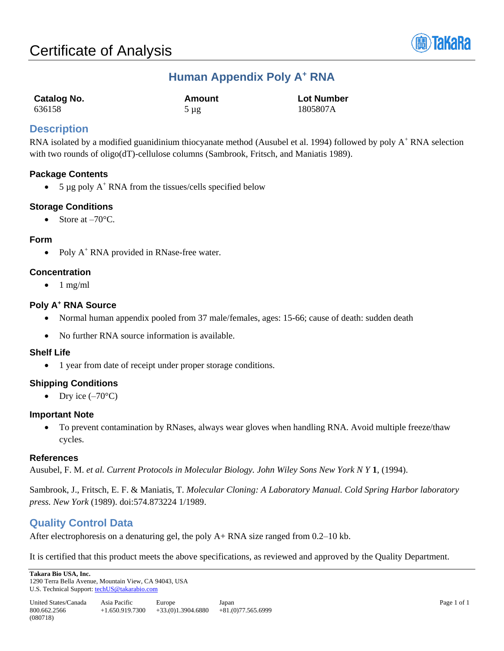

# **Human Appendix Poly A<sup>+</sup> RNA**

| <b>Catalog No.</b> | Amount    | <b>Lot Number</b> |
|--------------------|-----------|-------------------|
| 636158             | $5 \mu$ g | 1805807A          |

## **Description**

RNA isolated by a modified guanidinium thiocyanate method (Ausubel et al. 1994) followed by poly A<sup>+</sup> RNA selection with two rounds of oligo(dT)-cellulose columns (Sambrook, Fritsch, and Maniatis 1989).

### **Package Contents**

• 5  $\mu$ g poly A<sup>+</sup> RNA from the tissues/cells specified below

## **Storage Conditions**

• Store at  $-70^{\circ}$ C.

#### **Form**

• Poly  $A^+$  RNA provided in RNase-free water.

#### **Concentration**

 $\bullet$  1 mg/ml

### **Poly A<sup>+</sup> RNA Source**

- Normal human appendix pooled from 37 male/females, ages: 15-66; cause of death: sudden death
- No further RNA source information is available.

#### **Shelf Life**

• 1 year from date of receipt under proper storage conditions.

## **Shipping Conditions**

• Dry ice  $(-70^{\circ}C)$ 

#### **Important Note**

• To prevent contamination by RNases, always wear gloves when handling RNA. Avoid multiple freeze/thaw cycles.

#### **References**

Ausubel, F. M. *et al. Current Protocols in Molecular Biology. John Wiley Sons New York N Y* **1**, (1994).

Sambrook, J., Fritsch, E. F. & Maniatis, T. *Molecular Cloning: A Laboratory Manual. Cold Spring Harbor laboratory press. New York* (1989). doi:574.873224 1/1989.

## **Quality Control Data**

After electrophoresis on a denaturing gel, the poly A+ RNA size ranged from 0.2–10 kb.

It is certified that this product meets the above specifications, as reviewed and approved by the Quality Department.

**Takara Bio USA, Inc.**  1290 Terra Bella Avenue, Mountain View, CA 94043, USA U.S. Technical Support[: techUS@takarabio.com](mailto:techUS@takarabio.com)